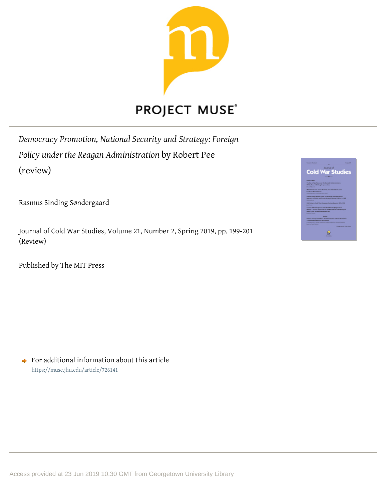

*Democracy Promotion, National Security and Strategy: Foreign Policy under the Reagan Administration* by Robert Pee (review)

Rasmus Sinding Søndergaard

Journal of Cold War Studies, Volume 21, Number 2, Spring 2019, pp. 199-201 (Review)

Published by The MIT Press



 $\rightarrow$  For additional information about this article <https://muse.jhu.edu/article/726141>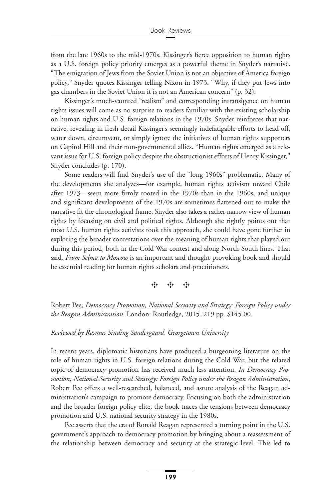from the late 1960s to the mid-1970s. Kissinger's fierce opposition to human rights as a U.S. foreign policy priority emerges as a powerful theme in Snyder's narrative. "The emigration of Jews from the Soviet Union is not an objective of America foreign policy," Snyder quotes Kissinger telling Nixon in 1973. "Why, if they put Jews into gas chambers in the Soviet Union it is not an American concern" (p. 32).

Kissinger's much-vaunted "realism" and corresponding intransigence on human rights issues will come as no surprise to readers familiar with the existing scholarship on human rights and U.S. foreign relations in the 1970s. Snyder reinforces that narrative, revealing in fresh detail Kissinger's seemingly indefatigable efforts to head off, water down, circumvent, or simply ignore the initiatives of human rights supporters on Capitol Hill and their non-governmental allies. "Human rights emerged as a relevant issue for U.S. foreign policy despite the obstructionist efforts of Henry Kissinger," Snyder concludes (p. 170).

Some readers will find Snyder's use of the "long 1960s" problematic. Many of the developments she analyzes—for example, human rights activism toward Chile after 1973—seem more firmly rooted in the 1970s than in the 1960s, and unique and significant developments of the 1970s are sometimes flattened out to make the narrative fit the chronological frame. Snyder also takes a rather narrow view of human rights by focusing on civil and political rights. Although she rightly points out that most U.S. human rights activists took this approach, she could have gone further in exploring the broader contestations over the meaning of human rights that played out during this period, both in the Cold War contest and along North-South lines. That said, *From Selma to Moscow* is an important and thought-provoking book and should be essential reading for human rights scholars and practitioners.

## ✣✣✣

Robert Pee, *Democracy Promotion, National Security and Strategy: Foreign Policy under the Reagan Administration*. London: Routledge, 2015. 219 pp. \$145.00.

## *Reviewed by Rasmus Sinding Søndergaard, Georgetown University*

In recent years, diplomatic historians have produced a burgeoning literature on the role of human rights in U.S. foreign relations during the Cold War, but the related topic of democracy promotion has received much less attention. *In Democracy Promotion, National Security and Strategy: Foreign Policy under the Reagan Administration*, Robert Pee offers a well-researched, balanced, and astute analysis of the Reagan administration's campaign to promote democracy. Focusing on both the administration and the broader foreign policy elite, the book traces the tensions between democracy promotion and U.S. national security strategy in the 1980s.

Pee asserts that the era of Ronald Reagan represented a turning point in the U.S. government's approach to democracy promotion by bringing about a reassessment of the relationship between democracy and security at the strategic level. This led to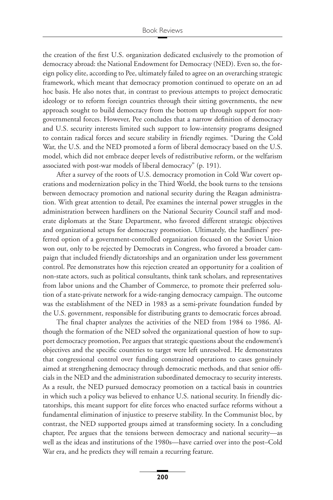the creation of the first U.S. organization dedicated exclusively to the promotion of democracy abroad: the National Endowment for Democracy (NED). Even so, the foreign policy elite, according to Pee, ultimately failed to agree on an overarching strategic framework, which meant that democracy promotion continued to operate on an ad hoc basis. He also notes that, in contrast to previous attempts to project democratic ideology or to reform foreign countries through their sitting governments, the new approach sought to build democracy from the bottom up through support for nongovernmental forces. However, Pee concludes that a narrow definition of democracy and U.S. security interests limited such support to low-intensity programs designed to contain radical forces and secure stability in friendly regimes. "During the Cold War, the U.S. and the NED promoted a form of liberal democracy based on the U.S. model, which did not embrace deeper levels of redistributive reform, or the welfarism associated with post-war models of liberal democracy" (p. 191).

After a survey of the roots of U.S. democracy promotion in Cold War covert operations and modernization policy in the Third World, the book turns to the tensions between democracy promotion and national security during the Reagan administration. With great attention to detail, Pee examines the internal power struggles in the administration between hardliners on the National Security Council staff and moderate diplomats at the State Department, who favored different strategic objectives and organizational setups for democracy promotion. Ultimately, the hardliners' preferred option of a government-controlled organization focused on the Soviet Union won out, only to be rejected by Democrats in Congress, who favored a broader campaign that included friendly dictatorships and an organization under less government control. Pee demonstrates how this rejection created an opportunity for a coalition of non-state actors, such as political consultants, think tank scholars, and representatives from labor unions and the Chamber of Commerce, to promote their preferred solution of a state-private network for a wide-ranging democracy campaign. The outcome was the establishment of the NED in 1983 as a semi-private foundation funded by the U.S. government, responsible for distributing grants to democratic forces abroad.

The final chapter analyzes the activities of the NED from 1984 to 1986. Although the formation of the NED solved the organizational question of how to support democracy promotion, Pee argues that strategic questions about the endowment's objectives and the specific countries to target were left unresolved. He demonstrates that congressional control over funding constrained operations to cases genuinely aimed at strengthening democracy through democratic methods, and that senior officials in the NED and the administration subordinated democracy to security interests. As a result, the NED pursued democracy promotion on a tactical basis in countries in which such a policy was believed to enhance U.S. national security. In friendly dictatorships, this meant support for elite forces who enacted surface reforms without a fundamental elimination of injustice to preserve stability. In the Communist bloc, by contrast, the NED supported groups aimed at transforming society. In a concluding chapter, Pee argues that the tensions between democracy and national security—as well as the ideas and institutions of the 1980s—have carried over into the post–Cold War era, and he predicts they will remain a recurring feature.